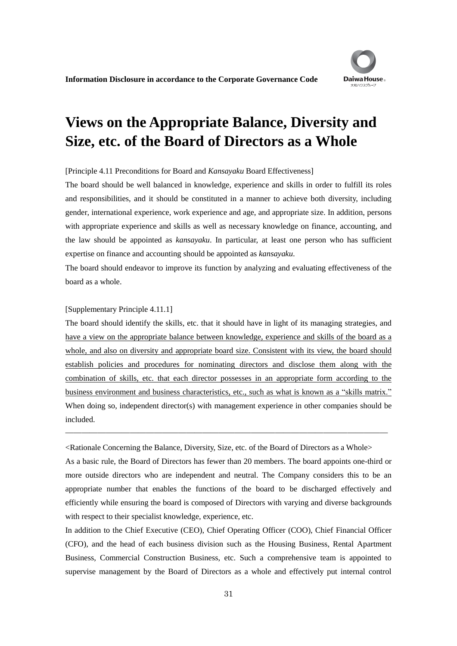

# **Views on the Appropriate Balance, Diversity and Size, etc. of the Board of Directors as a Whole**

[Principle 4.11 Preconditions for Board and *Kansayaku* Board Effectiveness]

The board should be well balanced in knowledge, experience and skills in order to fulfill its roles and responsibilities, and it should be constituted in a manner to achieve both diversity, including gender, international experience, work experience and age, and appropriate size. In addition, persons with appropriate experience and skills as well as necessary knowledge on finance, accounting, and the law should be appointed as *kansayaku*. In particular, at least one person who has sufficient expertise on finance and accounting should be appointed as *kansayaku*.

The board should endeavor to improve its function by analyzing and evaluating effectiveness of the board as a whole.

[Supplementary Principle 4.11.1]

The board should identify the skills, etc. that it should have in light of its managing strategies, and have a view on the appropriate balance between knowledge, experience and skills of the board as a whole, and also on diversity and appropriate board size. Consistent with its view, the board should establish policies and procedures for nominating directors and disclose them along with the combination of skills, etc. that each director possesses in an appropriate form according to the business environment and business characteristics, etc., such as what is known as a "skills matrix." When doing so, independent director(s) with management experience in other companies should be included.

<Rationale Concerning the Balance, Diversity, Size, etc. of the Board of Directors as a Whole>

――――――――――――――――――――――――――――――――――――――――

As a basic rule, the Board of Directors has fewer than 20 members. The board appoints one-third or more outside directors who are independent and neutral. The Company considers this to be an appropriate number that enables the functions of the board to be discharged effectively and efficiently while ensuring the board is composed of Directors with varying and diverse backgrounds with respect to their specialist knowledge, experience, etc.

In addition to the Chief Executive (CEO), Chief Operating Officer (COO), Chief Financial Officer (CFO), and the head of each business division such as the Housing Business, Rental Apartment Business, Commercial Construction Business, etc. Such a comprehensive team is appointed to supervise management by the Board of Directors as a whole and effectively put internal control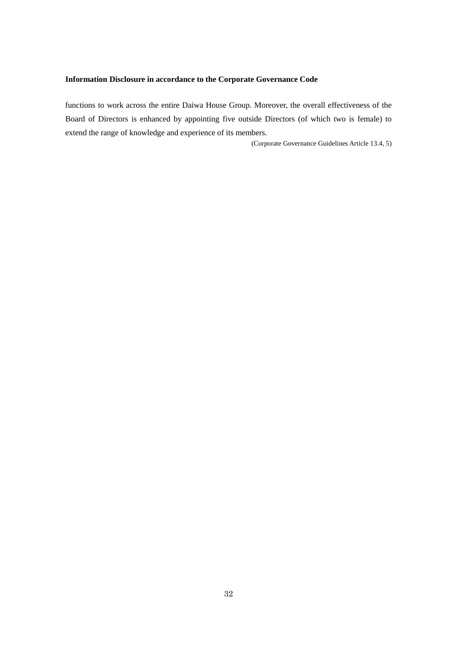functions to work across the entire Daiwa House Group. Moreover, the overall effectiveness of the Board of Directors is enhanced by appointing five outside Directors (of which two is female) to extend the range of knowledge and experience of its members.

(Corporate Governance Guidelines Article 13.4, 5)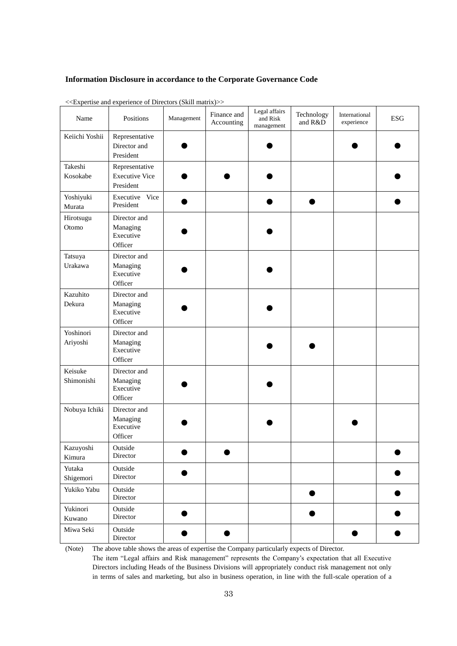| Name                  | Positions                                            | Management | Finance and<br>Accounting | Legal affairs<br>and Risk<br>management | Technology<br>and R&D | International<br>experience | <b>ESG</b> |
|-----------------------|------------------------------------------------------|------------|---------------------------|-----------------------------------------|-----------------------|-----------------------------|------------|
| Keiichi Yoshii        | Representative<br>Director and<br>President          |            |                           |                                         |                       |                             |            |
| Takeshi<br>Kosokabe   | Representative<br><b>Executive Vice</b><br>President |            |                           |                                         |                       |                             |            |
| Yoshiyuki<br>Murata   | Executive Vice<br>President                          |            |                           |                                         |                       |                             |            |
| Hirotsugu<br>Otomo    | Director and<br>Managing<br>Executive<br>Officer     |            |                           |                                         |                       |                             |            |
| Tatsuya<br>Urakawa    | Director and<br>Managing<br>Executive<br>Officer     |            |                           |                                         |                       |                             |            |
| Kazuhito<br>Dekura    | Director and<br>Managing<br>Executive<br>Officer     |            |                           |                                         |                       |                             |            |
| Yoshinori<br>Ariyoshi | Director and<br>Managing<br>Executive<br>Officer     |            |                           |                                         |                       |                             |            |
| Keisuke<br>Shimonishi | Director and<br>Managing<br>Executive<br>Officer     |            |                           |                                         |                       |                             |            |
| Nobuya Ichiki         | Director and<br>Managing<br>Executive<br>Officer     |            |                           |                                         |                       |                             |            |
| Kazuyoshi<br>Kimura   | Outside<br>Director                                  |            |                           |                                         |                       |                             |            |
| Yutaka<br>Shigemori   | Outside<br>Director                                  |            |                           |                                         |                       |                             |            |
| Yukiko Yabu           | Outside<br>Director                                  |            |                           |                                         |                       |                             |            |
| Yukinori<br>Kuwano    | Outside<br>Director                                  |            |                           |                                         |                       |                             |            |
| Miwa Seki             | Outside<br>Director                                  |            |                           |                                         |                       |                             |            |

<<Expertise and experience of Directors (Skill matrix)>>

(Note) The above table shows the areas of expertise the Company particularly expects of Director.

The item "Legal affairs and Risk management" represents the Company's expectation that all Executive Directors including Heads of the Business Divisions will appropriately conduct risk management not only in terms of sales and marketing, but also in business operation, in line with the full-scale operation of a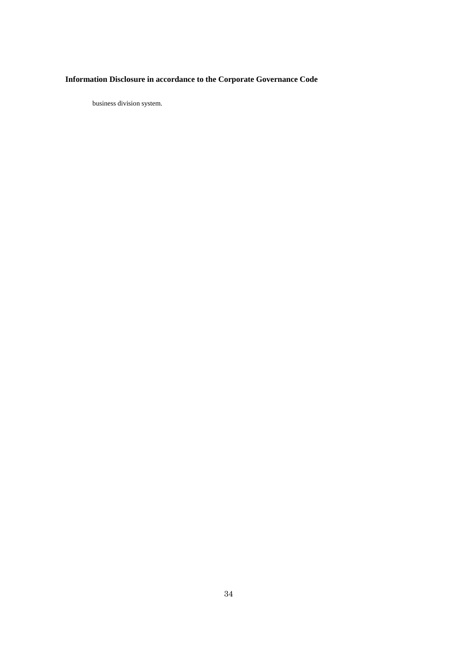business division system.